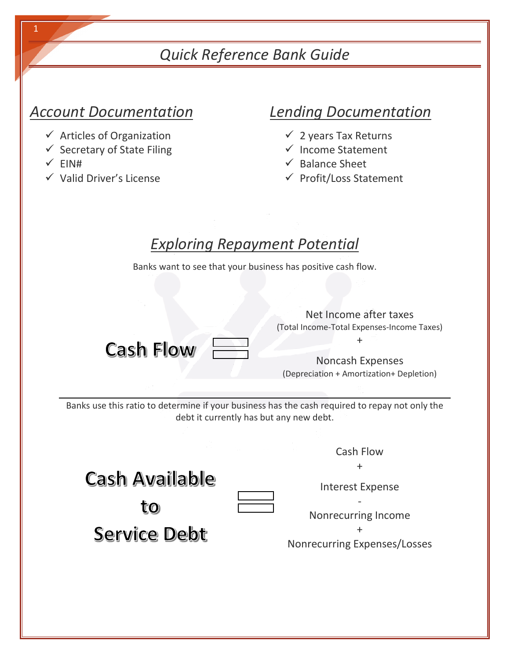## *Quick Reference Bank Guide*

## *Account Documentation*

- $\checkmark$  Articles of Organization
- $\checkmark$  Secretary of State Filing
- $\checkmark$  EIN#
- $\checkmark$  Valid Driver's License

## *Lending Documentation*

- $\checkmark$  2 years Tax Returns
- $\checkmark$  Income Statement
- $\checkmark$  Balance Sheet
- $\checkmark$  Profit/Loss Statement

## *Exploring Repayment Potential*

Banks want to see that your business has positive cash flow.

Net Income after taxes (Total Income-Total Expenses-Income Taxes)  $+$   $\heartsuit$ **Cash Flow** Noncash Expenses (Depreciation + Amortization+ Depletion) Banks use this ratio to determine if your business has the cash required to repay not only the debt it currently has but any new debt. Cash Flow + **Cash Available** Interest Expense to: Nonrecurring Income + **Service Debt** Nonrecurring Expenses/Losses

1